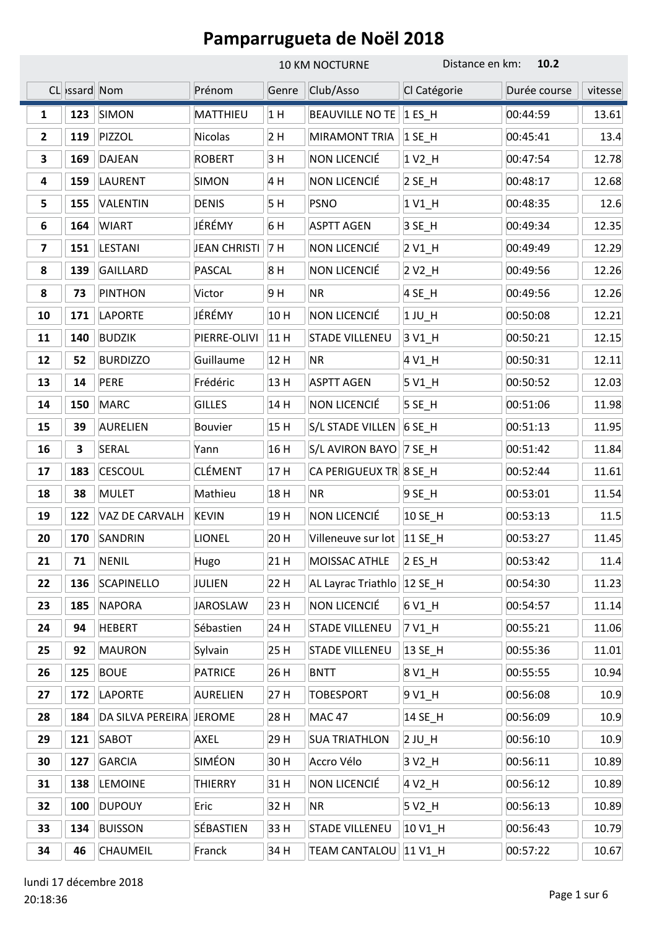|              |               |                         |                     | <b>10 KM NOCTURNE</b> |                              | Distance en km:<br>10.2 |              |         |
|--------------|---------------|-------------------------|---------------------|-----------------------|------------------------------|-------------------------|--------------|---------|
|              | CL Issard Nom |                         | Prénom              | Genre                 | Club/Asso                    | Cl Catégorie            | Durée course | vitesse |
| $\mathbf{1}$ | 123           | <b>SIMON</b>            | MATTHIEU            | 1H                    | <b>BEAUVILLE NO TE</b>       | $1ES$ H                 | 00:44:59     | 13.61   |
| $\mathbf{2}$ | 119           | PIZZOL                  | <b>Nicolas</b>      | 2H                    | MIRAMONT TRIA                | $1$ SE_H                | 00:45:41     | 13.4    |
| 3            | 169           | <b>DAJEAN</b>           | <b>ROBERT</b>       | 3H                    | NON LICENCIÉ                 | $1V2$ _H                | 00:47:54     | 12.78   |
| 4            | 159           | <b>LAURENT</b>          | <b>SIMON</b>        | 4 H                   | NON LICENCIÉ                 | $2$ SE_H                | 00:48:17     | 12.68   |
| 5            | 155           | VALENTIN                | <b>DENIS</b>        | 5 H                   | <b>PSNO</b>                  | 1 V1_H                  | 00:48:35     | 12.6    |
| 6            | 164           | <b>WIART</b>            | JÉRÉMY              | 6H                    | <b>ASPTT AGEN</b>            | 3 SE_H                  | 00:49:34     | 12.35   |
| 7            | 151           | <b>LESTANI</b>          | <b>JEAN CHRISTI</b> | 7 H                   | NON LICENCIÉ                 | 2 V1_H                  | 00:49:49     | 12.29   |
| 8            | 139           | <b>GAILLARD</b>         | <b>PASCAL</b>       | 8H                    | NON LICENCIÉ                 | 2 V <sub>2_</sub> H     | 00:49:56     | 12.26   |
| 8            | 73            | <b>PINTHON</b>          | Victor              | 9H                    | <b>NR</b>                    | 4 SE_H                  | 00:49:56     | 12.26   |
| 10           | 171           | <b>LAPORTE</b>          | JÉRÉMY              | 10H                   | NON LICENCIÉ                 | $1$ JU_H                | 00:50:08     | 12.21   |
| 11           | 140           | <b>BUDZIK</b>           | PIERRE-OLIVI        | 11 H                  | <b>STADE VILLENEU</b>        | 3 V1_H                  | 00:50:21     | 12.15   |
| 12           | 52            | <b>BURDIZZO</b>         | Guillaume           | 12 H                  | <b>NR</b>                    | 4 V1_H                  | 00:50:31     | 12.11   |
| 13           | 14            | PERE                    | Frédéric            | 13 H                  | <b>ASPTT AGEN</b>            | 5 V1_H                  | 00:50:52     | 12.03   |
| 14           | 150           | <b>MARC</b>             | <b>GILLES</b>       | 14 H                  | NON LICENCIÉ                 | $5$ SE_H                | 00:51:06     | 11.98   |
| 15           | 39            | <b>AURELIEN</b>         | <b>Bouvier</b>      | 15H                   | S/L STADE VILLEN             | 6 SE_H                  | 00:51:13     | 11.95   |
| 16           | 3             | SERAL                   | Yann                | 16 H                  | S/L AVIRON BAYO   7 SE_H     |                         | 00:51:42     | 11.84   |
| 17           | 183           | <b>CESCOUL</b>          | <b>CLÉMENT</b>      | 17H                   | CA PERIGUEUX TR 8 SE_H       |                         | 00:52:44     | 11.61   |
| 18           | 38            | <b>MULET</b>            | Mathieu             | 18 H                  | <b>NR</b>                    | 9 SE_H                  | 00:53:01     | 11.54   |
| 19           | 122           | VAZ DE CARVALH          | <b>KEVIN</b>        | 19H                   | NON LICENCIÉ                 | 10 SE_H                 | 00:53:13     | 11.5    |
| 20           | 170           | SANDRIN                 | LIONEL              | 20 H                  | Villeneuve sur lot   11 SE H |                         | 00:53:27     | 11.45   |
| 21           | 71            | <b>NENIL</b>            | Hugo                | 21 H                  | MOISSAC ATHLE                | $2 ES$ H                | 00:53:42     | 11.4    |
| 22           | 136           | <b>SCAPINELLO</b>       | JULIEN              | 22 H                  | AL Layrac Triathlo           | $12$ SE_H               | 00:54:30     | 11.23   |
| 23           | 185           | <b>NAPORA</b>           | <b>JAROSLAW</b>     | 23 H                  | NON LICENCIÉ                 | 6 V1_H                  | 00:54:57     | 11.14   |
| 24           | 94            | <b>HEBERT</b>           | Sébastien           | 24 H                  | <b>STADE VILLENEU</b>        | 7 V1_H                  | 00:55:21     | 11.06   |
| 25           | 92            | <b>MAURON</b>           | Sylvain             | 25 H                  | <b>STADE VILLENEU</b>        | 13 SE_H                 | 00:55:36     | 11.01   |
| 26           | 125           | <b>BOUE</b>             | <b>PATRICE</b>      | 26 H                  | <b>BNTT</b>                  | 8 V1_H                  | 00:55:55     | 10.94   |
| 27           | 172           | <b>LAPORTE</b>          | <b>AURELIEN</b>     | 27 H                  | <b>TOBESPORT</b>             | 9 V1 H                  | 00:56:08     | 10.9    |
| 28           | 184           | DA SILVA PEREIRA JEROME |                     | 28 H                  | <b>MAC 47</b>                | 14 SE_H                 | 00:56:09     | 10.9    |
| 29           | 121           | SABOT                   | AXEL                | 29 H                  | <b>SUA TRIATHLON</b>         | $2$ JU_H                | 00:56:10     | 10.9    |
| 30           | 127           | <b>GARCIA</b>           | SIMÉON              | 30H                   | Accro Vélo                   | 3 V <sub>2_</sub> H     | 00:56:11     | 10.89   |
| 31           | 138           | <b>LEMOINE</b>          | <b>THIERRY</b>      | 31 H                  | NON LICENCIÉ                 | 4 V <sub>2_</sub> H     | 00:56:12     | 10.89   |
| 32           | 100           | <b>DUPOUY</b>           | Eric                | 32 H                  | ΝR                           | 5 V2_H                  | 00:56:13     | 10.89   |
| 33           | 134           | <b>BUISSON</b>          | SÉBASTIEN           | 33 H                  | <b>STADE VILLENEU</b>        | 10 V1_H                 | 00:56:43     | 10.79   |
| 34           | 46            | <b>CHAUMEIL</b>         | Franck              | 34 H                  | TEAM CANTALOU 11 V1_H        |                         | 00:57:22     | 10.67   |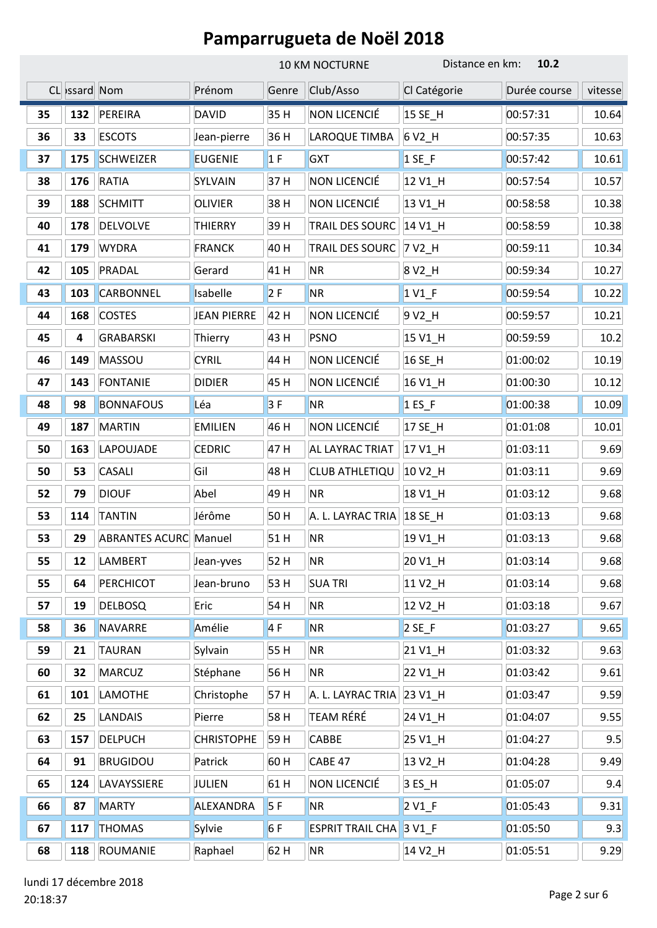|    |              |                              |                    | 10 KM NOCTURNE |                         | Distance en km:<br>10.2 |              |         |
|----|--------------|------------------------------|--------------------|----------------|-------------------------|-------------------------|--------------|---------|
|    | CL ssard Nom |                              | Prénom             | Genre          | Club/Asso               | Cl Catégorie            | Durée course | vitesse |
| 35 | 132          | PEREIRA                      | DAVID              | 35H            | NON LICENCIÉ            | 15 SE_H                 | 00:57:31     | 10.64   |
| 36 | 33           | <b>ESCOTS</b>                | Jean-pierre        | 36 H           | LAROQUE TIMBA           | 6 V2_H                  | 00:57:35     | 10.63   |
| 37 | 175          | <b>SCHWEIZER</b>             | <b>EUGENIE</b>     | 1F             | <b>GXT</b>              | $1$ SE_F                | 00:57:42     | 10.61   |
| 38 | 176          | <b>RATIA</b>                 | SYLVAIN            | 37 H           | NON LICENCIÉ            | 12 V1_H                 | 00:57:54     | 10.57   |
| 39 | 188          | <b>SCHMITT</b>               | <b>OLIVIER</b>     | 38 H           | NON LICENCIÉ            | 13 V1_H                 | 00:58:58     | 10.38   |
| 40 | 178          | <b>DELVOLVE</b>              | <b>THIERRY</b>     | 39 H           | TRAIL DES SOURC         | 14 V1_H                 | 00:58:59     | 10.38   |
| 41 | 179          | <b>WYDRA</b>                 | <b>FRANCK</b>      | 40 H           | TRAIL DES SOURC         | 7 V <sub>2_</sub> H     | 00:59:11     | 10.34   |
| 42 | 105          | PRADAL                       | Gerard             | 41 H           | <b>NR</b>               | 8 V <sub>2_</sub> H     | 00:59:34     | 10.27   |
| 43 | 103          | <b>CARBONNEL</b>             | Isabelle           | 2F             | <b>NR</b>               | $1$ V <sub>1</sub> $_F$ | 00:59:54     | 10.22   |
| 44 | 168          | <b>COSTES</b>                | <b>JEAN PIERRE</b> | 42 H           | NON LICENCIÉ            | 9 V <sub>2_</sub> H     | 00:59:57     | 10.21   |
| 45 | 4            | <b>GRABARSKI</b>             | Thierry            | 43 H           | <b>PSNO</b>             | 15 V1_H                 | 00:59:59     | 10.2    |
| 46 | 149          | MASSOU                       | <b>CYRIL</b>       | 44 H           | NON LICENCIÉ            | 16 SE H                 | 01:00:02     | 10.19   |
| 47 | 143          | <b>FONTANIE</b>              | <b>DIDIER</b>      | 45 H           | NON LICENCIÉ            | 16 V1_H                 | 01:00:30     | 10.12   |
| 48 | 98           | <b>BONNAFOUS</b>             | Léa                | 3F             | <b>NR</b>               | $1$ ES_F                | 01:00:38     | 10.09   |
| 49 | 187          | <b>MARTIN</b>                | <b>EMILIEN</b>     | 46 H           | NON LICENCIÉ            | 17 SE_H                 | 01:01:08     | 10.01   |
| 50 | 163          | LAPOUJADE                    | <b>CEDRIC</b>      | 47 H           | AL LAYRAC TRIAT         | 17 V1_H                 | 01:03:11     | 9.69    |
| 50 | 53           | <b>CASALI</b>                | Gil                | 48 H           | CLUB ATHLETIQU          | 10 V <sub>2_</sub> H    | 01:03:11     | 9.69    |
| 52 | 79           | <b>DIOUF</b>                 | Abel               | 49 H           | <b>NR</b>               | 18 V1_H                 | 01:03:12     | 9.68    |
| 53 | 114          | <b>TANTIN</b>                | Jérôme             | 50H            | A. L. LAYRAC TRIA       | 18 SE_H                 | 01:03:13     | 9.68    |
| 53 | 29           | <b>ABRANTES ACURC Manuel</b> |                    | 51 H           | <b>NR</b>               | 19 V1_H                 | 01:03:13     | 9.68    |
| 55 | 12           | <b>LAMBERT</b>               | Jean-yves          | 52 H           | <b>NR</b>               | 20 V1_H                 | 01:03:14     | 9.68    |
| 55 | 64           | <b>PERCHICOT</b>             | Jean-bruno         | 53 H           | <b>SUA TRI</b>          | 11 V <sub>2_</sub> H    | 01:03:14     | 9.68    |
| 57 | 19           | <b>DELBOSQ</b>               | Eric               | 54 H           | <b>NR</b>               | 12 V2_H                 | 01:03:18     | 9.67    |
| 58 | 36           | NAVARRE                      | Amélie             | 4F             | <b>NR</b>               | $2$ SE_F                | 01:03:27     | 9.65    |
| 59 | 21           | <b>TAURAN</b>                | Sylvain            | 55 H           | <b>NR</b>               | 21 V1_H                 | 01:03:32     | 9.63    |
| 60 | 32           | <b>MARCUZ</b>                | Stéphane           | 56 H           | <b>NR</b>               | 22 V1_H                 | 01:03:42     | 9.61    |
| 61 | 101          | <b>LAMOTHE</b>               | Christophe         | 57 H           | A. L. LAYRAC TRIA       | 23 V1_H                 | 01:03:47     | 9.59    |
| 62 | 25           | <b>LANDAIS</b>               | Pierre             | 58 H           | TEAM RÉRÉ               | 24 V1_H                 | 01:04:07     | 9.55    |
| 63 | 157          | <b>DELPUCH</b>               | <b>CHRISTOPHE</b>  | 59H            | CABBE                   | 25 V1_H                 | 01:04:27     | 9.5     |
| 64 | 91           | <b>BRUGIDOU</b>              | Patrick            | 60 H           | CABE 47                 | 13 V2_H                 | 01:04:28     | 9.49    |
| 65 | 124          | LAVAYSSIERE                  | JULIEN             | 61 H           | NON LICENCIÉ            | 3 ES_H                  | 01:05:07     | 9.4     |
| 66 | 87           | <b>MARTY</b>                 | ALEXANDRA          | 5F             | <b>NR</b>               | $2 VI_F$                | 01:05:43     | 9.31    |
| 67 | 117          | <b>THOMAS</b>                | Sylvie             | 6F             | <b>ESPRIT TRAIL CHA</b> | 3 V <sub>1</sub> F      | 01:05:50     | 9.3     |
| 68 | 118          | ROUMANIE                     | Raphael            | 62 H           | <b>NR</b>               | 14 V <sub>2_</sub> H    | 01:05:51     | 9.29    |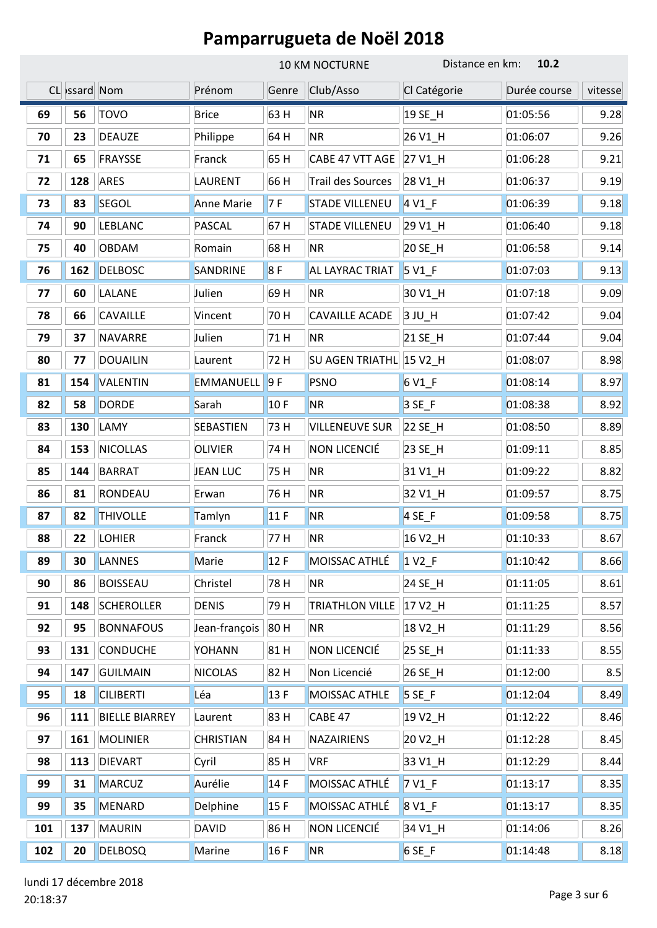|     |               |                       |                  |       | 10 KM NOCTURNE           | Distance en km:             | 10.2         |         |
|-----|---------------|-----------------------|------------------|-------|--------------------------|-----------------------------|--------------|---------|
|     | CL issard Nom |                       | Prénom           | Genre | Club/Asso                | Cl Catégorie                | Durée course | vitesse |
| 69  | 56            | <b>TOVO</b>           | <b>Brice</b>     | 63 H  | <b>NR</b>                | 19 SE H                     | 01:05:56     | 9.28    |
| 70  | 23            | <b>DEAUZE</b>         | Philippe         | 64 H  | <b>NR</b>                | 26 V1_H                     | 01:06:07     | 9.26    |
| 71  | 65            | <b>FRAYSSE</b>        | Franck           | 65H   | CABE 47 VTT AGE          | 27 V1_H                     | 01:06:28     | 9.21    |
| 72  | 128           | <b>ARES</b>           | <b>LAURENT</b>   | 66 H  | <b>Trail des Sources</b> | 28 V1_H                     | 01:06:37     | 9.19    |
| 73  | 83            | <b>SEGOL</b>          | Anne Marie       | 7F    | <b>STADE VILLENEU</b>    | 4 V <sub>1</sub> F          | 01:06:39     | 9.18    |
| 74  | 90            | <b>LEBLANC</b>        | <b>PASCAL</b>    | 67 H  | <b>STADE VILLENEU</b>    | 29 V1_H                     | 01:06:40     | 9.18    |
| 75  | 40            | <b>OBDAM</b>          | Romain           | 68 H  | <b>NR</b>                | 20 SE_H                     | 01:06:58     | 9.14    |
| 76  | 162           | <b>DELBOSC</b>        | SANDRINE         | 8F    | AL LAYRAC TRIAT          | 5 V1_F                      | 01:07:03     | 9.13    |
| 77  | 60            | LALANE                | Julien           | 69 H  | <b>NR</b>                | 30 V1_H                     | 01:07:18     | 9.09    |
| 78  | 66            | <b>CAVAILLE</b>       | Vincent          | 70 H  | <b>CAVAILLE ACADE</b>    | 3 JU_H                      | 01:07:42     | 9.04    |
| 79  | 37            | <b>NAVARRE</b>        | Julien           | 71 H  | <b>NR</b>                | 21 SE_H                     | 01:07:44     | 9.04    |
| 80  | 77            | <b>DOUAILIN</b>       | Laurent          | 72 H  | SU AGEN TRIATHL 15 V2 H  |                             | 01:08:07     | 8.98    |
| 81  | 154           | VALENTIN              | EMMANUELL        | 9F    | PSNO                     | 6 V1_F                      | 01:08:14     | 8.97    |
| 82  | 58            | <b>DORDE</b>          | Sarah            | 10F   | <b>NR</b>                | $3 SE_F$                    | 01:08:38     | 8.92    |
| 83  | 130           | LAMY                  | SEBASTIEN        | 73 H  | <b>VILLENEUVE SUR</b>    | 22 SE_H                     | 01:08:50     | 8.89    |
| 84  | 153           | <b>NICOLLAS</b>       | <b>OLIVIER</b>   | 74 H  | NON LICENCIÉ             | 23 SE_H                     | 01:09:11     | 8.85    |
| 85  | 144           | <b>BARRAT</b>         | <b>JEAN LUC</b>  | 75 H  | <b>NR</b>                | 31 V1_H                     | 01:09:22     | 8.82    |
| 86  | 81            | RONDEAU               | Erwan            | 76 H  | <b>NR</b>                | 32 V1 H                     | 01:09:57     | 8.75    |
| 87  | 82            | <b>THIVOLLE</b>       | Tamlyn           | 11F   | <b>NR</b>                | $4$ SE_F                    | 01:09:58     | 8.75    |
| 88  | 22            | <b>LOHIER</b>         | Franck           | 77 H  | <b>NR</b>                | 16 V <sub>2_</sub> H        | 01:10:33     | 8.67    |
| 89  | 30            | LANNES                | Marie            | 12F   | MOISSAC ATHLÉ            | $1 \text{V2}$ <sub>-F</sub> | 01:10:42     | 8.66    |
| 90  | 86            | <b>BOISSEAU</b>       | Christel         | 78 H  | <b>NR</b>                | 24 SE_H                     | 01:11:05     | 8.61    |
| 91  | 148           | <b>SCHEROLLER</b>     | <b>DENIS</b>     | 79 H  | <b>TRIATHLON VILLE</b>   | 17 V2 H                     | 01:11:25     | 8.57    |
| 92  | 95            | <b>BONNAFOUS</b>      | Jean-françois    | 80 H  | <b>NR</b>                | 18 V2_H                     | 01:11:29     | 8.56    |
| 93  | 131           | <b>CONDUCHE</b>       | YOHANN           | 81 H  | NON LICENCIÉ             | 25 SE_H                     | 01:11:33     | 8.55    |
| 94  | 147           | <b>GUILMAIN</b>       | <b>NICOLAS</b>   | 82 H  | Non Licencié             | 26 SE_H                     | 01:12:00     | 8.5     |
| 95  | 18            | <b>CILIBERTI</b>      | Léa              | 13F   | MOISSAC ATHLE            | $5$ SE_F                    | 01:12:04     | 8.49    |
| 96  | 111           | <b>BIELLE BIARREY</b> | Laurent          | 83 H  | CABE 47                  | 19 V2_H                     | 01:12:22     | 8.46    |
| 97  | 161           | <b>MOLINIER</b>       | <b>CHRISTIAN</b> | 84 H  | <b>NAZAIRIENS</b>        | 20 V <sub>2_</sub> H        | 01:12:28     | 8.45    |
| 98  | 113           | <b>DIEVART</b>        | Cyril            | 85 H  | <b>VRF</b>               | 33 V1_H                     | 01:12:29     | 8.44    |
| 99  | 31            | <b>MARCUZ</b>         | Aurélie          | 14F   | MOISSAC ATHLÉ            | $7V1_F$                     | 01:13:17     | 8.35    |
| 99  | 35            | <b>MENARD</b>         | Delphine         | 15F   | MOISSAC ATHLÉ            | 8 V1 F                      | 01:13:17     | 8.35    |
| 101 | 137           | <b>MAURIN</b>         | <b>DAVID</b>     | 86 H  | NON LICENCIÉ             | 34 V1_H                     | 01:14:06     | 8.26    |
| 102 | 20            | <b>DELBOSQ</b>        | Marine           | 16F   | <b>NR</b>                | $6$ SE_F                    | 01:14:48     | 8.18    |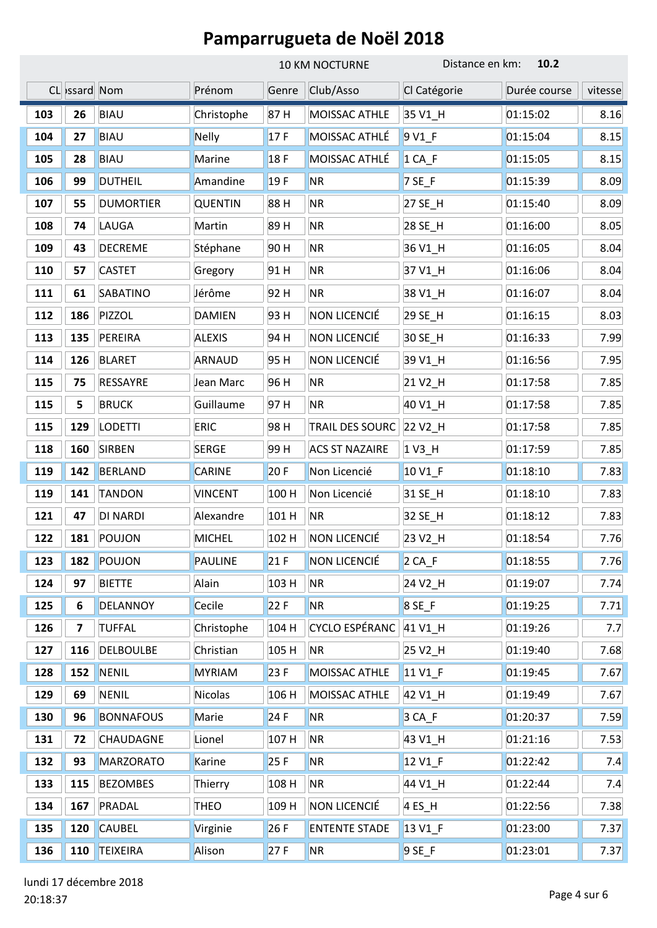|     |               |                  |                |       | <b>10 KM NOCTURNE</b>  | Distance en km:      | 10.2         |         |
|-----|---------------|------------------|----------------|-------|------------------------|----------------------|--------------|---------|
|     | CL Issard Nom |                  | Prénom         | Genre | Club/Asso              | Cl Catégorie         | Durée course | vitesse |
| 103 | 26            | <b>BIAU</b>      | Christophe     | 87H   | MOISSAC ATHLE          | 35 V1_H              | 01:15:02     | 8.16    |
| 104 | 27            | <b>BIAU</b>      | Nelly          | 17F   | MOISSAC ATHLÉ          | 9 V1 F               | 01:15:04     | 8.15    |
| 105 | 28            | <b>BIAU</b>      | Marine         | 18F   | MOISSAC ATHLÉ          | $1 CA_F$             | 01:15:05     | 8.15    |
| 106 | 99            | <b>DUTHEIL</b>   | Amandine       | 19F   | <b>NR</b>              | 7 SE_F               | 01:15:39     | 8.09    |
| 107 | 55            | <b>DUMORTIER</b> | <b>QUENTIN</b> | 88 H  | <b>NR</b>              | 27 SE_H              | 01:15:40     | 8.09    |
| 108 | 74            | LAUGA            | Martin         | 89 H  | <b>NR</b>              | 28 SE_H              | 01:16:00     | 8.05    |
| 109 | 43            | <b>DECREME</b>   | Stéphane       | 90 H  | <b>NR</b>              | 36 V1_H              | 01:16:05     | 8.04    |
| 110 | 57            | <b>CASTET</b>    | Gregory        | 91 H  | <b>NR</b>              | 37 V1_H              | 01:16:06     | 8.04    |
| 111 | 61            | SABATINO         | Jérôme         | 92 H  | <b>NR</b>              | 38 V1 H              | 01:16:07     | 8.04    |
| 112 | 186           | PIZZOL           | <b>DAMIEN</b>  | 93 H  | NON LICENCIÉ           | 29 SE_H              | 01:16:15     | 8.03    |
| 113 | 135           | PEREIRA          | <b>ALEXIS</b>  | 94 H  | NON LICENCIÉ           | 30 SE_H              | 01:16:33     | 7.99    |
| 114 | 126           | <b>BLARET</b>    | <b>ARNAUD</b>  | 95 H  | NON LICENCIÉ           | 39 V1_H              | 01:16:56     | 7.95    |
| 115 | 75            | <b>RESSAYRE</b>  | Jean Marc      | 96 H  | <b>NR</b>              | 21 V2_H              | 01:17:58     | 7.85    |
| 115 | 5             | <b>BRUCK</b>     | Guillaume      | 97 H  | <b>NR</b>              | 40 V1_H              | 01:17:58     | 7.85    |
| 115 | 129           | <b>LODETTI</b>   | <b>ERIC</b>    | 98 H  | <b>TRAIL DES SOURC</b> | 22 V <sub>2_</sub> H | 01:17:58     | 7.85    |
| 118 | 160           | <b>SIRBEN</b>    | <b>SERGE</b>   | 99 H  | <b>ACS ST NAZAIRE</b>  | $1V3$ _H             | 01:17:59     | 7.85    |
| 119 | 142           | <b>BERLAND</b>   | <b>CARINE</b>  | 20F   | Non Licencié           | 10 V1_F              | 01:18:10     | 7.83    |
| 119 | 141           | <b>TANDON</b>    | <b>VINCENT</b> | 100 H | Non Licencié           | 31 SE_H              | 01:18:10     | 7.83    |
| 121 | 47            | <b>DI NARDI</b>  | Alexandre      | 101 H | <b>NR</b>              | 32 SE_H              | 01:18:12     | 7.83    |
| 122 | 181           | POUJON           | <b>MICHEL</b>  | 102 H | NON LICENCIÉ           | 23 V2_H              | 01:18:54     | 7.76    |
| 123 | 182           | POUJON           | PAULINE        | 21F   | NON LICENCIÉ           | $2 CA$ F             | 01:18:55     | 7.76    |
| 124 | 97            | <b>BIETTE</b>    | Alain          | 103 H | <b>NR</b>              | 24 V2_H              | 01:19:07     | 7.74    |
| 125 | 6             | <b>DELANNOY</b>  | Cecile         | 22F   | <b>NR</b>              | 8 SE_F               | 01:19:25     | 7.71    |
| 126 | 7             | <b>TUFFAL</b>    | Christophe     | 104 H | CYCLO ESPÉRANC         | 41 V1_H              | 01:19:26     | 7.7     |
| 127 | 116           | <b>DELBOULBE</b> | Christian      | 105 H | <b>NR</b>              | 25 V2_H              | 01:19:40     | 7.68    |
| 128 | 152           | <b>NENIL</b>     | <b>MYRIAM</b>  | 23 F  | MOISSAC ATHLE          | 11 V1_F              | 01:19:45     | 7.67    |
| 129 | 69            | <b>NENIL</b>     | Nicolas        | 106 H | MOISSAC ATHLE          | 42 V1_H              | 01:19:49     | 7.67    |
| 130 | 96            | <b>BONNAFOUS</b> | Marie          | 24F   | <b>NR</b>              | $3 CA_F$             | 01:20:37     | 7.59    |
| 131 | 72            | <b>CHAUDAGNE</b> | Lionel         | 107 H | <b>NR</b>              | 43 V1_H              | 01:21:16     | 7.53    |
| 132 | 93            | MARZORATO        | Karine         | 25F   | <b>NR</b>              | 12 V1_F              | 01:22:42     | 7.4     |
| 133 | 115           | <b>BEZOMBES</b>  | Thierry        | 108 H | <b>NR</b>              | 44 V1_H              | 01:22:44     | 7.4     |
| 134 | 167           | PRADAL           | <b>THEO</b>    | 109 H | NON LICENCIÉ           | $4$ ES_H             | 01:22:56     | 7.38    |
| 135 | 120           | <b>CAUBEL</b>    | Virginie       | 26F   | <b>ENTENTE STADE</b>   | 13 V1_F              | 01:23:00     | 7.37    |
| 136 | 110           | TEIXEIRA         | Alison         | 27F   | <b>NR</b>              | $9$ SE_F             | 01:23:01     | 7.37    |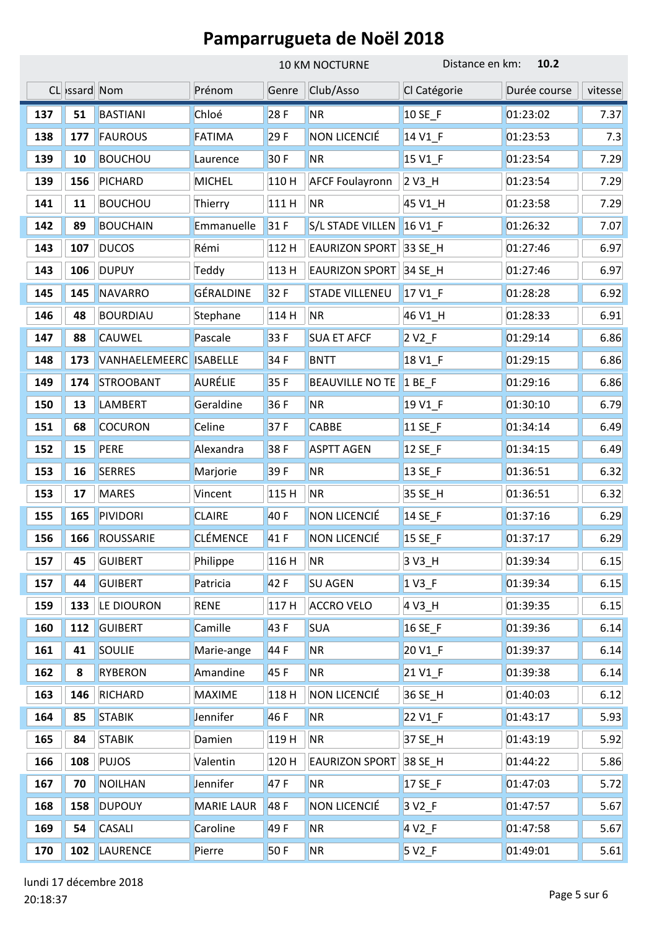|     |               |                  |                   | 10 KM NOCTURNE |                        | 10.2<br>Distance en km: |              |         |
|-----|---------------|------------------|-------------------|----------------|------------------------|-------------------------|--------------|---------|
|     | CL issard Nom |                  | Prénom            | Genre          | Club/Asso              | Cl Catégorie            | Durée course | vitesse |
| 137 | 51            | <b>BASTIANI</b>  | Chloé             | 28F            | <b>NR</b>              | 10 SE F                 | 01:23:02     | 7.37    |
| 138 | 177           | <b>FAUROUS</b>   | <b>FATIMA</b>     | 29F            | NON LICENCIÉ           | 14 V1 F                 | 01:23:53     | 7.3     |
| 139 | 10            | <b>BOUCHOU</b>   | Laurence          | 30F            | <b>NR</b>              | 15 V1_F                 | 01:23:54     | 7.29    |
| 139 | 156           | <b>PICHARD</b>   | <b>MICHEL</b>     | 110H           | <b>AFCF Foulayronn</b> | 2 V3_H                  | 01:23:54     | 7.29    |
| 141 | 11            | <b>BOUCHOU</b>   | Thierry           | 111 H          | <b>NR</b>              | 45 V1_H                 | 01:23:58     | 7.29    |
| 142 | 89            | <b>BOUCHAIN</b>  | Emmanuelle        | 31F            | S/L STADE VILLEN       | 16 V1_F                 | 01:26:32     | 7.07    |
| 143 | 107           | <b>DUCOS</b>     | Rémi              | 112 H          | <b>EAURIZON SPORT</b>  | 33 SE_H                 | 01:27:46     | 6.97    |
| 143 | 106           | <b>DUPUY</b>     | Teddy             | 113 H          | <b>EAURIZON SPORT</b>  | 34 SE_H                 | 01:27:46     | 6.97    |
| 145 | 145           | <b>NAVARRO</b>   | GÉRALDINE         | 32F            | <b>STADE VILLENEU</b>  | 17 V1_F                 | 01:28:28     | 6.92    |
| 146 | 48            | <b>BOURDIAU</b>  | Stephane          | 114 H          | <b>NR</b>              | 46 V1_H                 | 01:28:33     | 6.91    |
| 147 | 88            | <b>CAUWEL</b>    | Pascale           | 33 F           | <b>SUA ET AFCF</b>     | $2 V2_F$                | 01:29:14     | 6.86    |
| 148 | 173           | VANHAELEMEERC    | <b>ISABELLE</b>   | 34 F           | <b>BNTT</b>            | 18 V1_F                 | 01:29:15     | 6.86    |
| 149 | 174           | <b>STROOBANT</b> | AURÉLIE           | 35 F           | <b>BEAUVILLE NO TE</b> | 1BE                     | 01:29:16     | 6.86    |
| 150 | 13            | LAMBERT          | Geraldine         | 36 F           | <b>NR</b>              | 19 V1_F                 | 01:30:10     | 6.79    |
| 151 | 68            | <b>COCURON</b>   | Celine            | 37F            | <b>CABBE</b>           | 11 SE_F                 | 01:34:14     | 6.49    |
| 152 | 15            | <b>PERE</b>      | Alexandra         | 38 F           | <b>ASPTT AGEN</b>      | 12 SE_F                 | 01:34:15     | 6.49    |
| 153 | 16            | <b>SERRES</b>    | Marjorie          | 39F            | <b>NR</b>              | 13 SE_F                 | 01:36:51     | 6.32    |
| 153 | 17            | <b>MARES</b>     | Vincent           | 115 H          | <b>NR</b>              | 35 SE_H                 | 01:36:51     | 6.32    |
| 155 | 165           | <b>PIVIDORI</b>  | <b>CLAIRE</b>     | 40 F           | NON LICENCIÉ           | 14 SE_F                 | 01:37:16     | 6.29    |
| 156 | 166           | ROUSSARIE        | <b>CLÉMENCE</b>   | 41 F           | NON LICENCIÉ           | 15 SE_F                 | 01:37:17     | 6.29    |
| 157 | 45            | <b>GUIBERT</b>   | Philippe          | 116 H          | <b>NR</b>              | 3 V3_H                  | 01:39:34     | 6.15    |
| 157 | 44            | <b>GUIBERT</b>   | Patricia          | 42 F           | <b>SU AGEN</b>         | 1 V3_F                  | 01:39:34     | 6.15    |
| 159 | 133           | LE DIOURON       | <b>RENE</b>       | 117H           | <b>ACCRO VELO</b>      | 4 V3_H                  | 01:39:35     | 6.15    |
| 160 | 112           | <b>GUIBERT</b>   | Camille           | 43 F           | <b>SUA</b>             | 16 SE_F                 | 01:39:36     | 6.14    |
| 161 | 41            | SOULIE           | Marie-ange        | 44 F           | <b>NR</b>              | 20 V1_F                 | 01:39:37     | 6.14    |
| 162 | 8             | <b>RYBERON</b>   | Amandine          | 45 F           | <b>NR</b>              | 21 V1_F                 | 01:39:38     | 6.14    |
| 163 | 146           | <b>RICHARD</b>   | <b>MAXIME</b>     | 118 H          | NON LICENCIÉ           | 36 SE_H                 | 01:40:03     | 6.12    |
| 164 | 85            | <b>STABIK</b>    | Jennifer          | 46 F           | <b>NR</b>              | 22 V1_F                 | 01:43:17     | 5.93    |
| 165 | 84            | <b>STABIK</b>    | Damien            | 119H           | <b>NR</b>              | 37 SE_H                 | 01:43:19     | 5.92    |
| 166 | 108           | <b>PUJOS</b>     | Valentin          | 120H           | <b>EAURIZON SPORT</b>  | 38 SE_H                 | 01:44:22     | 5.86    |
| 167 | 70            | <b>NOILHAN</b>   | Jennifer          | 47 F           | <b>NR</b>              | 17 SE_F                 | 01:47:03     | 5.72    |
| 168 | 158           | <b>DUPOUY</b>    | <b>MARIE LAUR</b> | 48 F           | NON LICENCIÉ           | $3 V2_F$                | 01:47:57     | 5.67    |
| 169 | 54            | CASALI           | Caroline          | 49 F           | <b>NR</b>              | 4 V <sub>2_F</sub>      | 01:47:58     | 5.67    |
| 170 | 102           | <b>LAURENCE</b>  | Pierre            | 50F            | <b>NR</b>              | $5 V2_F$                | 01:49:01     | 5.61    |